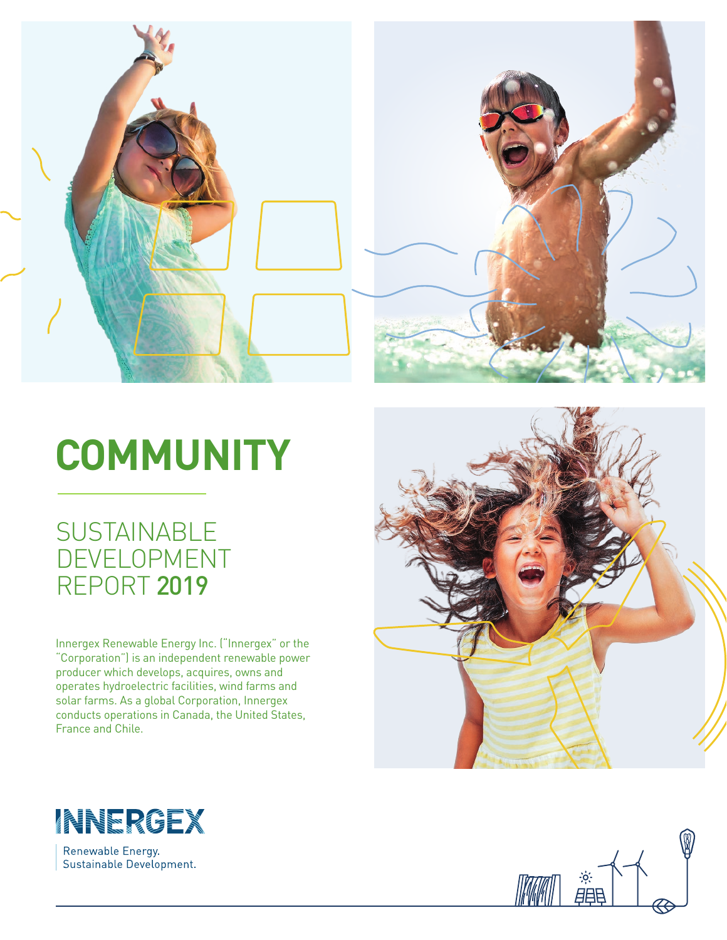

# **COMMUNITY**

# **SUSTAINABLE** DEVELOPMENT REPORT 2019

Innergex Renewable Energy Inc. ("Innergex" or the "Corporation") is an independent renewable power producer which develops, acquires, owns and operates hydroelectric facilities, wind farms and solar farms. As a global Corporation, Innergex conducts operations in Canada, the United States, France and Chile.





Renewable Energy. Sustainable Development.

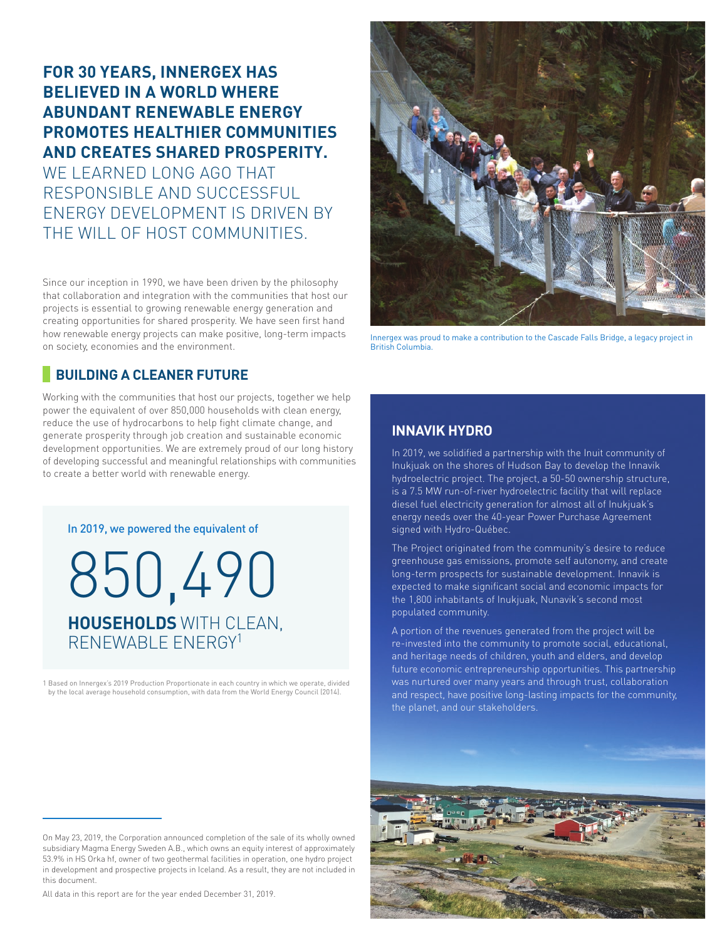# **FOR 30 YEARS, INNERGEX HAS BELIEVED IN A WORLD WHERE ABUNDANT RENEWABLE ENERGY PROMOTES HEALTHIER COMMUNITIES AND CREATES SHARED PROSPERITY.**  WE LEARNED LONG AGO THAT RESPONSIBLE AND SUCCESSFUL ENERGY DEVELOPMENT IS DRIVEN BY THE WILL OF HOST COMMUNITIES.

Since our inception in 1990, we have been driven by the philosophy that collaboration and integration with the communities that host our projects is essential to growing renewable energy generation and creating opportunities for shared prosperity. We have seen first hand how renewable energy projects can make positive, long-term impacts on society, economies and the environment.



Innergex was proud to make a contribution to the Cascade Falls Bridge, a legacy project in British Columbia.

## **BUILDING A CLEANER FUTURE**

Working with the communities that host our projects, together we help power the equivalent of over 850,000 households with clean energy, reduce the use of hydrocarbons to help fight climate change, and generate prosperity through job creation and sustainable economic development opportunities. We are extremely proud of our long history of developing successful and meaningful relationships with communities to create a better world with renewable energy.

In 2019, we powered the equivalent of

850,490 **HOUSEHOLDS** WITH CLEAN, RENEWABLE ENERGY1

1 Based on Innergex's 2019 Production Proportionate in each country in which we operate, divided by the local average household consumption, with data from the World Energy Council (2014).

On May 23, 2019, the Corporation announced completion of the sale of its wholly owned subsidiary Magma Energy Sweden A.B., which owns an equity interest of approximately 53.9% in HS Orka hf, owner of two geothermal facilities in operation, one hydro project in development and prospective projects in Iceland. As a result, they are not included in this document.

All data in this report are for the year ended December 31, 2019.

### **INNAVIK HYDRO**

In 2019, we solidified a partnership with the Inuit community of Inukjuak on the shores of Hudson Bay to develop the Innavik hydroelectric project. The project, a 50-50 ownership structure, is a 7.5 MW run-of-river hydroelectric facility that will replace diesel fuel electricity generation for almost all of Inukjuak's energy needs over the 40-year Power Purchase Agreement signed with Hydro-Québec.

The Project originated from the community's desire to reduce greenhouse gas emissions, promote self autonomy, and create long-term prospects for sustainable development. Innavik is expected to make significant social and economic impacts for the 1,800 inhabitants of Inukjuak, Nunavik's second most populated community.

A portion of the revenues generated from the project will be re-invested into the community to promote social, educational, and heritage needs of children, youth and elders, and develop future economic entrepreneurship opportunities. This partnership was nurtured over many years and through trust, collaboration and respect, have positive long-lasting impacts for the community, the planet, and our stakeholders.

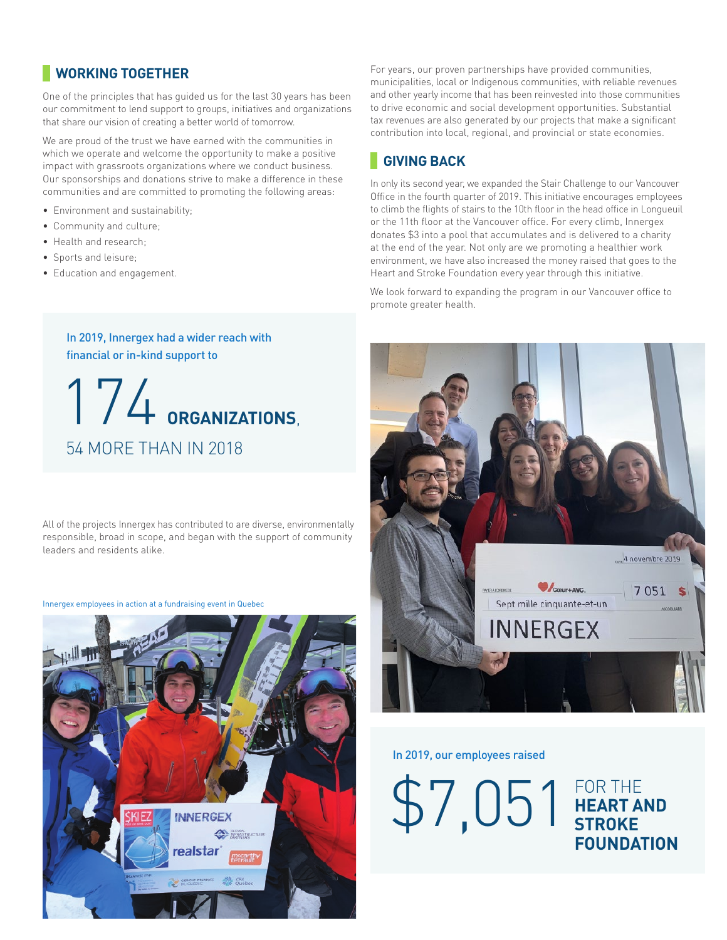# **WORKING TOGETHER**

One of the principles that has guided us for the last 30 years has been our commitment to lend support to groups, initiatives and organizations that share our vision of creating a better world of tomorrow.

We are proud of the trust we have earned with the communities in which we operate and welcome the opportunity to make a positive impact with grassroots organizations where we conduct business. Our sponsorships and donations strive to make a difference in these communities and are committed to promoting the following areas:

- Environment and sustainability;
- Community and culture;
- Health and research;
- Sports and leisure;
- Education and engagement.

#### In 2019, Innergex had a wider reach with financial or in-kind support to

174 **ORGANIZATIONS**, 54 MORE THAN IN 2018

All of the projects Innergex has contributed to are diverse, environmentally responsible, broad in scope, and began with the support of community leaders and residents alike.

Innergex employees in action at a fundraising event in Quebec



For years, our proven partnerships have provided communities, municipalities, local or Indigenous communities, with reliable revenues and other yearly income that has been reinvested into those communities to drive economic and social development opportunities. Substantial tax revenues are also generated by our projects that make a significant contribution into local, regional, and provincial or state economies.

# **GIVING BACK**

In only its second year, we expanded the Stair Challenge to our Vancouver Office in the fourth quarter of 2019. This initiative encourages employees to climb the flights of stairs to the 10th floor in the head office in Longueuil or the 11th floor at the Vancouver office. For every climb, Innergex donates \$3 into a pool that accumulates and is delivered to a charity at the end of the year. Not only are we promoting a healthier work environment, we have also increased the money raised that goes to the Heart and Stroke Foundation every year through this initiative.

We look forward to expanding the program in our Vancouver office to promote greater health.



In 2019, our employees raised

\$7,051 FOR THE

**HEART AND STROKE FOUNDATION**